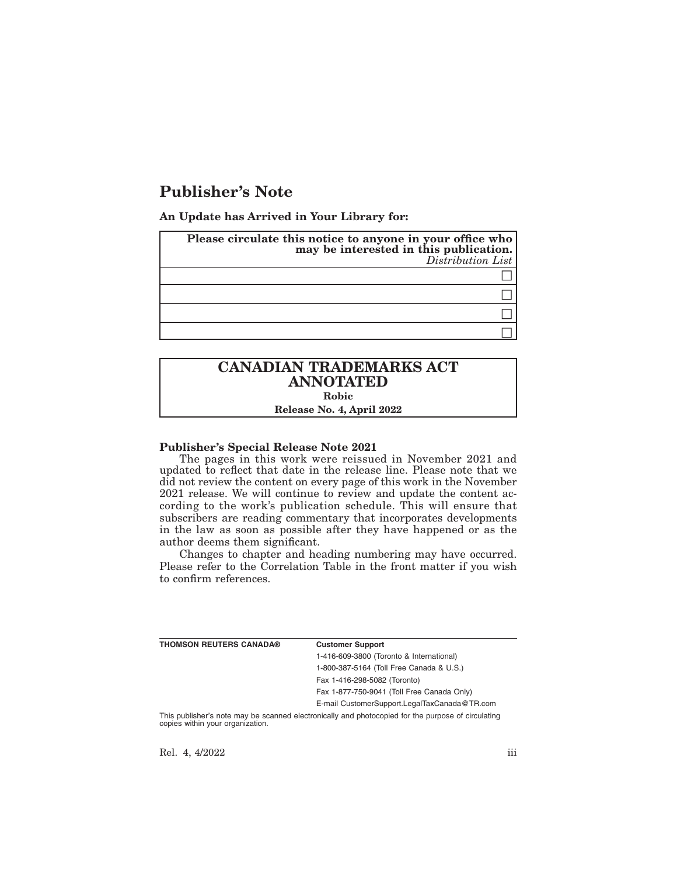# **Publisher's Note**

**An Update has Arrived in Your Library for:**

| Please circulate this notice to anyone in your office who<br>may be interested in this publication.<br>Distribution List |
|--------------------------------------------------------------------------------------------------------------------------|
|                                                                                                                          |
|                                                                                                                          |
|                                                                                                                          |
|                                                                                                                          |

## **CANADIAN TRADEMARKS ACT ANNOTATED Robic Release No. 4, April 2022**

#### **Publisher's Special Release Note 2021**

The pages in this work were reissued in November 2021 and updated to reflect that date in the release line. Please note that we did not review the content on every page of this work in the November 2021 release. We will continue to review and update the content according to the work's publication schedule. This will ensure that subscribers are reading commentary that incorporates developments in the law as soon as possible after they have happened or as the author deems them significant.

Changes to chapter and heading numbering may have occurred. Please refer to the Correlation Table in the front matter if you wish to confirm references.

| <b>THOMSON REUTERS CANADA®</b> | <b>Customer Support</b>                      |
|--------------------------------|----------------------------------------------|
|                                | 1-416-609-3800 (Toronto & International)     |
|                                | 1-800-387-5164 (Toll Free Canada & U.S.)     |
|                                | Fax 1-416-298-5082 (Toronto)                 |
|                                | Fax 1-877-750-9041 (Toll Free Canada Only)   |
|                                | E-mail CustomerSupport.LegalTaxCanada@TR.com |
|                                |                                              |

This publisher's note may be scanned electronically and photocopied for the purpose of circulating copies within your organization.

Rel. 4, 4/2022 iii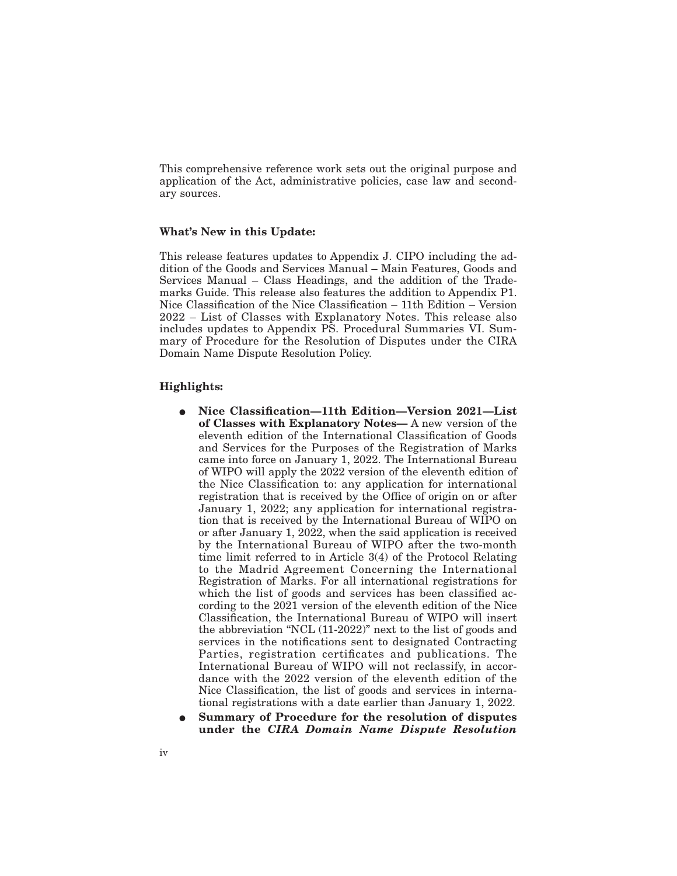This comprehensive reference work sets out the original purpose and application of the Act, administrative policies, case law and secondary sources.

#### **What's New in this Update:**

This release features updates to Appendix J. CIPO including the addition of the Goods and Services Manual – Main Features, Goods and Services Manual – Class Headings, and the addition of the Trademarks Guide. This release also features the addition to Appendix P1. Nice Classification of the Nice Classification – 11th Edition – Version 2022 – List of Classes with Explanatory Notes. This release also includes updates to Appendix PS. Procedural Summaries VI. Summary of Procedure for the Resolution of Disputes under the CIRA Domain Name Dispute Resolution Policy.

#### **Highlights:**

- E **Nice Classification—11th Edition—Version 2021—List of Classes with Explanatory Notes—** A new version of the eleventh edition of the International Classification of Goods and Services for the Purposes of the Registration of Marks came into force on January 1, 2022. The International Bureau of WIPO will apply the 2022 version of the eleventh edition of the Nice Classification to: any application for international registration that is received by the Office of origin on or after January 1, 2022; any application for international registration that is received by the International Bureau of WIPO on or after January 1, 2022, when the said application is received by the International Bureau of WIPO after the two-month time limit referred to in Article 3(4) of the Protocol Relating to the Madrid Agreement Concerning the International Registration of Marks. For all international registrations for which the list of goods and services has been classified according to the 2021 version of the eleventh edition of the Nice Classification, the International Bureau of WIPO will insert the abbreviation "NCL (11-2022)" next to the list of goods and services in the notifications sent to designated Contracting Parties, registration certificates and publications. The International Bureau of WIPO will not reclassify, in accordance with the 2022 version of the eleventh edition of the Nice Classification, the list of goods and services in international registrations with a date earlier than January 1, 2022.
- E **Summary of Procedure for the resolution of disputes under the** *CIRA Domain Name Dispute Resolution*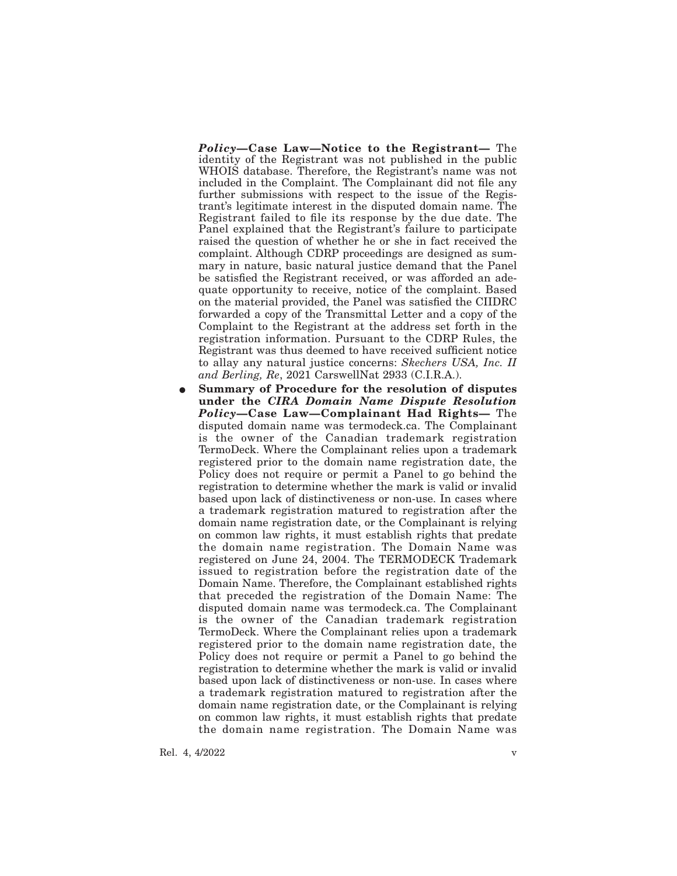*Policy***—Case Law—Notice to the Registrant—** The identity of the Registrant was not published in the public WHOIS database. Therefore, the Registrant's name was not included in the Complaint. The Complainant did not file any further submissions with respect to the issue of the Registrant's legitimate interest in the disputed domain name. The Registrant failed to file its response by the due date. The Panel explained that the Registrant's failure to participate raised the question of whether he or she in fact received the complaint. Although CDRP proceedings are designed as summary in nature, basic natural justice demand that the Panel be satisfied the Registrant received, or was afforded an adequate opportunity to receive, notice of the complaint. Based on the material provided, the Panel was satisfied the CIIDRC forwarded a copy of the Transmittal Letter and a copy of the Complaint to the Registrant at the address set forth in the registration information. Pursuant to the CDRP Rules, the Registrant was thus deemed to have received sufficient notice to allay any natural justice concerns: *Skechers USA, Inc. II and Berling, Re*, 2021 CarswellNat 2933 (C.I.R.A.).

E **Summary of Procedure for the resolution of disputes under the** *CIRA Domain Name Dispute Resolution Policy***—Case Law—Complainant Had Rights—** The disputed domain name was termodeck.ca. The Complainant is the owner of the Canadian trademark registration TermoDeck. Where the Complainant relies upon a trademark registered prior to the domain name registration date, the Policy does not require or permit a Panel to go behind the registration to determine whether the mark is valid or invalid based upon lack of distinctiveness or non-use. In cases where a trademark registration matured to registration after the domain name registration date, or the Complainant is relying on common law rights, it must establish rights that predate the domain name registration. The Domain Name was registered on June 24, 2004. The TERMODECK Trademark issued to registration before the registration date of the Domain Name. Therefore, the Complainant established rights that preceded the registration of the Domain Name: The disputed domain name was termodeck.ca. The Complainant is the owner of the Canadian trademark registration TermoDeck. Where the Complainant relies upon a trademark registered prior to the domain name registration date, the Policy does not require or permit a Panel to go behind the registration to determine whether the mark is valid or invalid based upon lack of distinctiveness or non-use. In cases where a trademark registration matured to registration after the domain name registration date, or the Complainant is relying on common law rights, it must establish rights that predate the domain name registration. The Domain Name was

Rel. 4, 4/2022 v